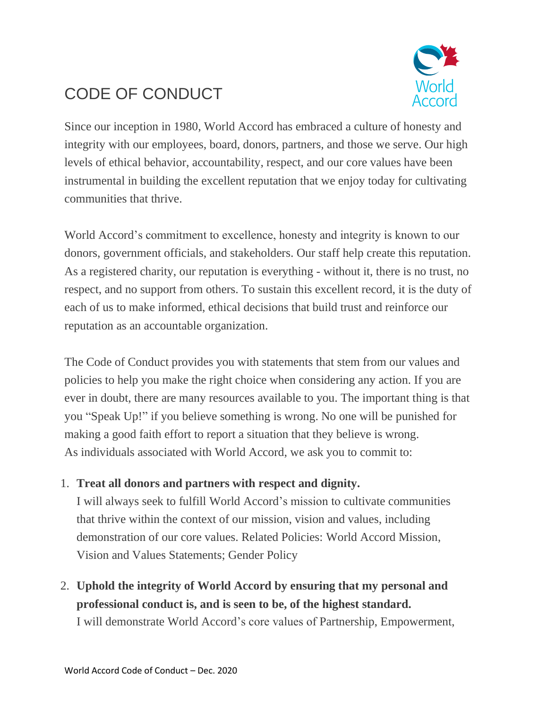# CODE OF CONDUCT



Since our inception in 1980, World Accord has embraced a culture of honesty and integrity with our employees, board, donors, partners, and those we serve. Our high levels of ethical behavior, accountability, respect, and our core values have been instrumental in building the excellent reputation that we enjoy today for cultivating communities that thrive.

World Accord's commitment to excellence, honesty and integrity is known to our donors, government officials, and stakeholders. Our staff help create this reputation. As a registered charity, our reputation is everything - without it, there is no trust, no respect, and no support from others. To sustain this excellent record, it is the duty of each of us to make informed, ethical decisions that build trust and reinforce our reputation as an accountable organization.

The Code of Conduct provides you with statements that stem from our values and policies to help you make the right choice when considering any action. If you are ever in doubt, there are many resources available to you. The important thing is that you "Speak Up!" if you believe something is wrong. No one will be punished for making a good faith effort to report a situation that they believe is wrong. As individuals associated with World Accord, we ask you to commit to:

1. **Treat all donors and partners with respect and dignity.**

I will always seek to fulfill World Accord's mission to cultivate communities that thrive within the context of our mission, vision and values, including demonstration of our core values. Related Policies: World Accord Mission, Vision and Values Statements; Gender Policy

2. **Uphold the integrity of World Accord by ensuring that my personal and professional conduct is, and is seen to be, of the highest standard.** I will demonstrate World Accord's core values of Partnership, Empowerment,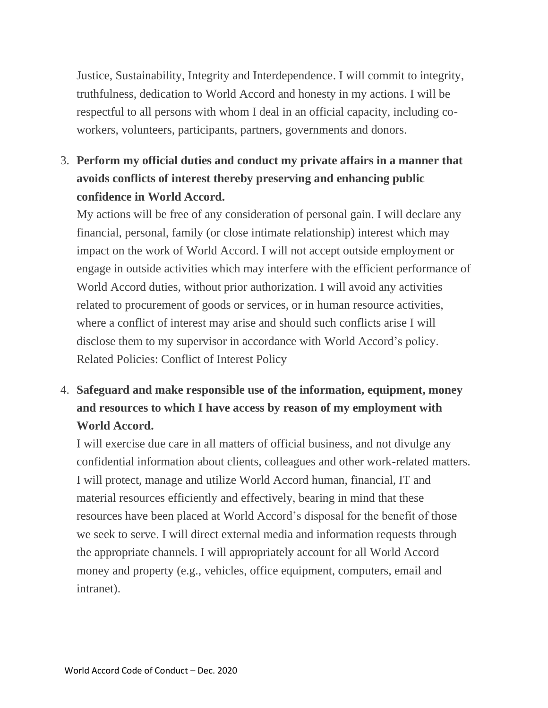Justice, Sustainability, Integrity and Interdependence. I will commit to integrity, truthfulness, dedication to World Accord and honesty in my actions. I will be respectful to all persons with whom I deal in an official capacity, including coworkers, volunteers, participants, partners, governments and donors.

3. **Perform my official duties and conduct my private affairs in a manner that avoids conflicts of interest thereby preserving and enhancing public confidence in World Accord.**

My actions will be free of any consideration of personal gain. I will declare any financial, personal, family (or close intimate relationship) interest which may impact on the work of World Accord. I will not accept outside employment or engage in outside activities which may interfere with the efficient performance of World Accord duties, without prior authorization. I will avoid any activities related to procurement of goods or services, or in human resource activities, where a conflict of interest may arise and should such conflicts arise I will disclose them to my supervisor in accordance with World Accord's policy. Related Policies: Conflict of Interest Policy

4. **Safeguard and make responsible use of the information, equipment, money and resources to which I have access by reason of my employment with World Accord.**

I will exercise due care in all matters of official business, and not divulge any confidential information about clients, colleagues and other work-related matters. I will protect, manage and utilize World Accord human, financial, IT and material resources efficiently and effectively, bearing in mind that these resources have been placed at World Accord's disposal for the benefit of those we seek to serve. I will direct external media and information requests through the appropriate channels. I will appropriately account for all World Accord money and property (e.g., vehicles, office equipment, computers, email and intranet).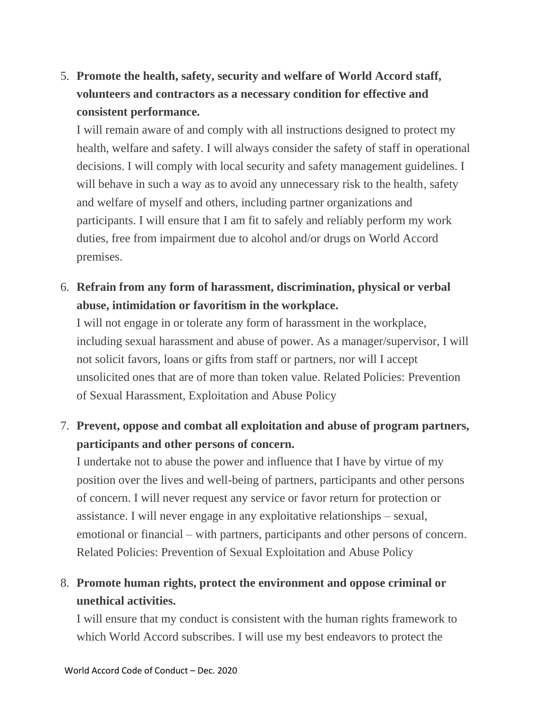# 5. **Promote the health, safety, security and welfare of World Accord staff, volunteers and contractors as a necessary condition for effective and consistent performance.**

I will remain aware of and comply with all instructions designed to protect my health, welfare and safety. I will always consider the safety of staff in operational decisions. I will comply with local security and safety management guidelines. I will behave in such a way as to avoid any unnecessary risk to the health, safety and welfare of myself and others, including partner organizations and participants. I will ensure that I am fit to safely and reliably perform my work duties, free from impairment due to alcohol and/or drugs on World Accord premises.

#### 6. **Refrain from any form of harassment, discrimination, physical or verbal abuse, intimidation or favoritism in the workplace.**

I will not engage in or tolerate any form of harassment in the workplace, including sexual harassment and abuse of power. As a manager/supervisor, I will not solicit favors, loans or gifts from staff or partners, nor will I accept unsolicited ones that are of more than token value. Related Policies: Prevention of Sexual Harassment, Exploitation and Abuse Policy

## 7. **Prevent, oppose and combat all exploitation and abuse of program partners, participants and other persons of concern.**

I undertake not to abuse the power and influence that I have by virtue of my position over the lives and well-being of partners, participants and other persons of concern. I will never request any service or favor return for protection or assistance. I will never engage in any exploitative relationships – sexual, emotional or financial – with partners, participants and other persons of concern. Related Policies: Prevention of Sexual Exploitation and Abuse Policy

## 8. **Promote human rights, protect the environment and oppose criminal or unethical activities.**

I will ensure that my conduct is consistent with the human rights framework to which World Accord subscribes. I will use my best endeavors to protect the